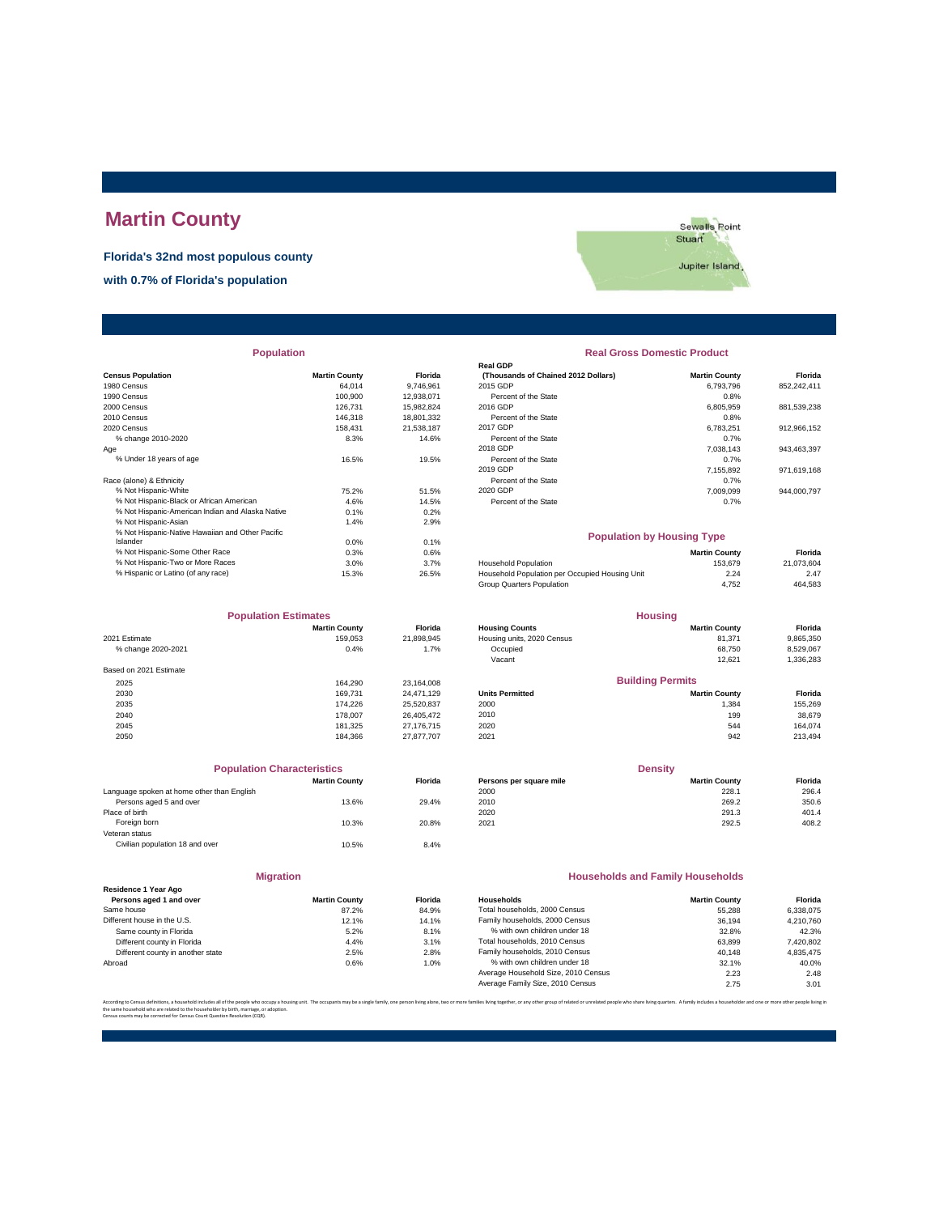# **Martin County**

**Florida's 32nd most populous county**

Sewalls Point Jupiter Island

**with 0.7% of Florida's population**

|                          | Population           |                |
|--------------------------|----------------------|----------------|
| <b>Census Population</b> | <b>Martin County</b> | <b>Florida</b> |
| 1980 Census              | 64.014               | 9.746.961      |
| 1990 Census              | 100,900              | 12.938.071     |
| 2000 Census              | 126.731              | 15.982.824     |
| 2010 Census              | 146.318              | 18,801.332     |
| 2020 Cancus              | 158 431              | 21 538 187     |

| 10 UHAHUG ZU IU-ZUZU<br>Age                                  | 0.070 | $1 + 0.0$ | סוטסות טו נווס טנמנס<br>2018 GDP               | 0.170<br>7.038.143   | 943.463.397 |
|--------------------------------------------------------------|-------|-----------|------------------------------------------------|----------------------|-------------|
| % Under 18 years of age                                      | 16.5% | 19.5%     | Percent of the State                           | 0.7%                 |             |
|                                                              |       |           | 2019 GDP                                       | 7.155.892            | 971.619.168 |
| Race (alone) & Ethnicity                                     |       |           | Percent of the State                           | 0.7%                 |             |
| % Not Hispanic-White                                         | 75.2% | 51.5%     | 2020 GDP                                       | 7.009.099            | 944.000.797 |
| % Not Hispanic-Black or African American                     | 4.6%  | 14.5%     | Percent of the State                           | 0.7%                 |             |
| % Not Hispanic-American Indian and Alaska Native             | 0.1%  | 0.2%      |                                                |                      |             |
| % Not Hispanic-Asian                                         | 1.4%  | 2.9%      |                                                |                      |             |
| % Not Hispanic-Native Hawaiian and Other Pacific<br>Islander | 0.0%  | 0.1%      | <b>Population by Housing Type</b>              |                      |             |
| % Not Hispanic-Some Other Race                               | 0.3%  | 0.6%      |                                                | <b>Martin County</b> | Florida     |
| % Not Hispanic-Two or More Races                             | 3.0%  | 3.7%      | <b>Household Population</b>                    | 153.679              | 21.073.604  |
| % Hispanic or Latino (of any race)                           | 15.3% | 26.5%     | Household Population per Occupied Housing Unit | 2.24                 | 2.47        |
|                                                              |       |           | Group Quarters Population                      | 4,752                | 464.583     |
|                                                              |       |           |                                                |                      |             |

| <b>Population Estimates</b> |                      |                | <b>Housing</b>             |                         |           |
|-----------------------------|----------------------|----------------|----------------------------|-------------------------|-----------|
|                             | <b>Martin County</b> | <b>Florida</b> | <b>Housing Counts</b>      | <b>Martin County</b>    | Florida   |
| 2021 Estimate               | 159.053              | 21,898,945     | Housing units, 2020 Census | 81,371                  | 9,865,350 |
| % change 2020-2021          | 0.4%                 | 1.7%           | Occupied                   | 68.750                  | 8,529,067 |
|                             |                      |                | Vacant                     | 12,621                  | 1,336,283 |
| Based on 2021 Estimate      |                      |                |                            |                         |           |
| 2025                        | 164.290              | 23,164,008     |                            | <b>Building Permits</b> |           |
| 2030                        | 169.731              | 24.471.129     | <b>Units Permitted</b>     | <b>Martin County</b>    | Florida   |
| 2035                        | 174.226              | 25,520,837     | 2000                       | 1,384                   | 155,269   |
| 2040                        | 178,007              | 26,405,472     | 2010                       | 199                     | 38,679    |
| 2045                        | 181.325              | 27,176,715     | 2020                       | 544                     | 164.074   |
| 2050                        | 184.366              | 27,877,707     | 2021                       | 942                     | 213,494   |

| <b>Population Characteristics</b>          |                      |                |
|--------------------------------------------|----------------------|----------------|
|                                            | <b>Martin County</b> | <b>Florida</b> |
| Language spoken at home other than English |                      |                |
| Persons aged 5 and over                    | 13.6%                | 29.4%          |
| Place of birth                             |                      |                |
| Foreign born                               | 10.3%                | 20.8%          |
| Veteran status                             |                      |                |
| Civilian population 18 and over            | 10.5%                | 8.4%           |
|                                            |                      |                |
|                                            |                      |                |

| <b>Martin County</b> | Florid           |
|----------------------|------------------|
| 87.2%                | 84.99            |
| 12.1%                | 14.19            |
| 5.2%                 | 8.1 <sup>°</sup> |
| 4.4%                 | 3.1 <sup>6</sup> |
| 2.5%                 | 2.8 <sup>c</sup> |
| 0.6%                 | 1.0 <sup>6</sup> |
|                      |                  |

**Migration**

| <b>Population</b>                                |                      |                | <b>Real Gross Domestic Product</b>  |                      |             |
|--------------------------------------------------|----------------------|----------------|-------------------------------------|----------------------|-------------|
|                                                  |                      |                | <b>Real GDP</b>                     |                      |             |
| <b>Census Population</b>                         | <b>Martin County</b> | <b>Florida</b> | (Thousands of Chained 2012 Dollars) | <b>Martin County</b> | Florida     |
| 1980 Census                                      | 64.014               | 9.746.961      | 2015 GDP                            | 6.793.796            | 852.242.411 |
| 1990 Census                                      | 100,900              | 12.938.071     | Percent of the State                | 0.8%                 |             |
| 2000 Census                                      | 126.731              | 15.982.824     | 2016 GDP                            | 6.805.959            | 881.539.238 |
| 2010 Census                                      | 146,318              | 18,801,332     | Percent of the State                | 0.8%                 |             |
| 2020 Census                                      | 158.431              | 21,538,187     | 2017 GDP                            | 6.783.251            | 912,966,152 |
| % change 2010-2020                               | 8.3%                 | 14.6%          | Percent of the State                | 0.7%                 |             |
| Aae                                              |                      |                | 2018 GDP                            | 7.038.143            | 943,463,397 |
| % Under 18 years of age                          | 16.5%                | 19.5%          | Percent of the State                | 0.7%                 |             |
|                                                  |                      |                | 2019 GDP                            | 7.155.892            | 971.619.168 |
| Race (alone) & Ethnicity                         |                      |                | Percent of the State                | 0.7%                 |             |
| % Not Hispanic-White                             | 75.2%                | 51.5%          | 2020 GDP                            | 7.009.099            | 944.000.797 |
| % Not Hispanic-Black or African American         | 4.6%                 | 14.5%          | Percent of the State                | 0.7%                 |             |
| % Not Hispanic-American Indian and Alaska Native | 0.1%                 | 0.2%           |                                     |                      |             |

|                                                | <b>Population by Housing Type</b> |        |  |  |  |
|------------------------------------------------|-----------------------------------|--------|--|--|--|
|                                                | <b>Martin County</b>              | Fic    |  |  |  |
| <b>Household Population</b>                    | 153.679                           | 21.073 |  |  |  |
| Household Population per Occupied Housing Unit | 2.24                              |        |  |  |  |
| Group Quarters Population                      | 4.752                             | 464    |  |  |  |

|                        | <b>Population Estimates</b> |                |                            | <b>Housing</b>          |           |
|------------------------|-----------------------------|----------------|----------------------------|-------------------------|-----------|
|                        | <b>Martin County</b>        | <b>Florida</b> | <b>Housing Counts</b>      | <b>Martin County</b>    | Florida   |
| 2021 Estimate          | 159.053                     | 21.898.945     | Housing units, 2020 Census | 81.371                  | 9,865,350 |
| % change 2020-2021     | 0.4%                        | 1.7%           | Occupied                   | 68.750                  | 8,529,067 |
|                        |                             |                | Vacant                     | 12.621                  | 1,336,283 |
| Based on 2021 Estimate |                             |                |                            |                         |           |
| 2025                   | 164.290                     | 23.164.008     |                            | <b>Building Permits</b> |           |
| 2030                   | 169.731                     | 24.471.129     | <b>Units Permitted</b>     | <b>Martin County</b>    | Florida   |
| 2035                   | 174.226                     | 25,520,837     | 2000                       | 1.384                   | 155.269   |
| 2040                   | 178,007                     | 26,405,472     | 2010                       | 199                     | 38,679    |
| .                      | .                           |                | -----                      |                         | .         |

| <b>Population Characteristics</b>          |                      |                | <b>Density</b>          |                      |         |
|--------------------------------------------|----------------------|----------------|-------------------------|----------------------|---------|
|                                            | <b>Martin County</b> | <b>Florida</b> | Persons per square mile | <b>Martin County</b> | Florida |
| Language spoken at home other than English |                      |                | 2000                    | 228.1                | 296.4   |
| Persons aged 5 and over                    | 13.6%                | 29.4%          | 2010                    | 269.2                | 350.6   |
| Place of birth                             |                      |                | 2020                    | 291.3                | 401.4   |
| Foreign born                               | 10.3%                | 20.8%          | 2021                    | 292.5                | 408.2   |
|                                            |                      |                |                         |                      |         |

#### **Households and Family Households**

| <b>Martin County</b> | <b>Florida</b> | Households                          | <b>Martin County</b> | Florida   |
|----------------------|----------------|-------------------------------------|----------------------|-----------|
| 87.2%                | 84.9%          | Total households, 2000 Census       | 55.288               | 6.338.075 |
| 12.1%                | 14.1%          | Family households, 2000 Census      | 36.194               | 4.210.760 |
| 5.2%                 | 8.1%           | % with own children under 18        | 32.8%                | 42.3%     |
| 4.4%                 | 3.1%           | Total households, 2010 Census       | 63.899               | 7,420,802 |
| 2.5%                 | 2.8%           | Family households, 2010 Census      | 40.148               | 4.835.475 |
| 0.6%                 | 1.0%           | % with own children under 18        | 32.1%                | 40.0%     |
|                      |                | Average Household Size, 2010 Census | 2.23                 | 2.48      |
|                      |                | Average Family Size, 2010 Census    | 2.75                 | 3.01      |
|                      |                |                                     |                      |           |

.<br>ilies living together, or any other group of related or unrelated people who share living quarters. A family includes a householder and one or mo the same household who are related to the householder by birth, marriage, or adoption. Census counts may be corrected for Census Count Question Resolution (CQR).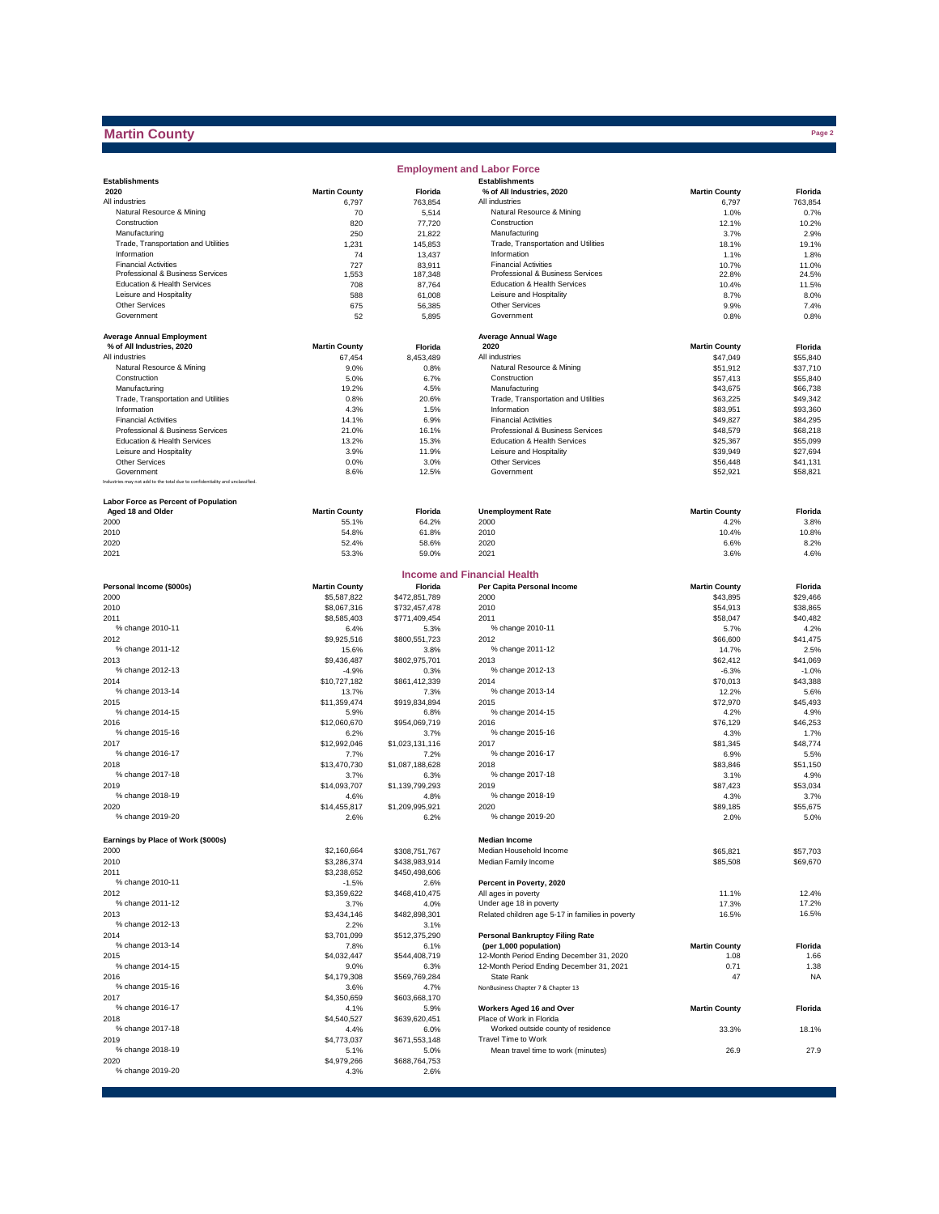## **Martin County**

|                                                                              |                         |                         | <b>Employment and Labor Force</b>                                |                      |                      |
|------------------------------------------------------------------------------|-------------------------|-------------------------|------------------------------------------------------------------|----------------------|----------------------|
| <b>Establishments</b>                                                        |                         |                         | <b>Establishments</b>                                            |                      |                      |
| 2020                                                                         | <b>Martin County</b>    | Florida                 | % of All Industries, 2020                                        | <b>Martin County</b> | Florida              |
| All industries<br>Natural Resource & Mining                                  | 6,797                   | 763,854                 | All industries                                                   | 6,797                | 763,854              |
| Construction                                                                 | 70<br>820               | 5,514<br>77,720         | Natural Resource & Mining<br>Construction                        | 1.0%<br>12.1%        | 0.7%<br>10.2%        |
| Manufacturing                                                                | 250                     | 21,822                  | Manufacturing                                                    | 3.7%                 | 2.9%                 |
| Trade, Transportation and Utilities                                          | 1,231                   | 145,853                 | Trade, Transportation and Utilities                              | 18.1%                | 19.1%                |
| Information                                                                  | 74                      | 13,437                  | Information                                                      | 1.1%                 | 1.8%                 |
| <b>Financial Activities</b>                                                  | 727                     | 83,911                  | <b>Financial Activities</b>                                      | 10.7%                | 11.0%                |
| Professional & Business Services<br>Education & Health Services              | 1,553<br>708            | 187,348                 | Professional & Business Services                                 | 22.8%                | 24.5%<br>11.5%       |
| Leisure and Hospitality                                                      | 588                     | 87,764<br>61,008        | Education & Health Services<br>Leisure and Hospitality           | 10.4%<br>8.7%        | 8.0%                 |
| <b>Other Services</b>                                                        | 675                     | 56,385                  | <b>Other Services</b>                                            | 9.9%                 | 7.4%                 |
| Government                                                                   | 52                      | 5,895                   | Government                                                       | 0.8%                 | 0.8%                 |
|                                                                              |                         |                         |                                                                  |                      |                      |
| <b>Average Annual Employment</b>                                             |                         |                         | <b>Average Annual Wage</b>                                       |                      |                      |
| % of All Industries, 2020                                                    | <b>Martin County</b>    | Florida                 | 2020                                                             | <b>Martin County</b> | Florida              |
| All industries<br>Natural Resource & Mining                                  | 67,454                  | 8,453,489               | All industries                                                   | \$47,049             | \$55,840             |
| Construction                                                                 | 9.0%<br>5.0%            | 0.8%<br>6.7%            | Natural Resource & Mining<br>Construction                        | \$51,912<br>\$57,413 | \$37,710<br>\$55,840 |
| Manufacturing                                                                | 19.2%                   | 4.5%                    | Manufacturing                                                    | \$43,675             | \$66,738             |
| Trade, Transportation and Utilities                                          | 0.8%                    | 20.6%                   | Trade, Transportation and Utilities                              | \$63,225             | \$49,342             |
| Information                                                                  | 4.3%                    | 1.5%                    | Information                                                      | \$83,951             | \$93,360             |
| <b>Financial Activities</b>                                                  | 14.1%                   | 6.9%                    | <b>Financial Activities</b>                                      | \$49,827             | \$84,295             |
| Professional & Business Services                                             | 21.0%                   | 16.1%                   | Professional & Business Services                                 | \$48,579             | \$68,218             |
| Education & Health Services                                                  | 13.2%                   | 15.3%                   | Education & Health Services                                      | \$25,367             | \$55,099             |
| Leisure and Hospitality                                                      | 3.9%                    | 11.9%                   | Leisure and Hospitality                                          | \$39,949             | \$27,694             |
| <b>Other Services</b><br>Government                                          | 0.0%<br>8.6%            | 3.0%<br>12.5%           | <b>Other Services</b><br>Government                              | \$56,448<br>\$52,921 | \$41,131<br>\$58,821 |
| Industries may not add to the total due to confidentiality and unclassified. |                         |                         |                                                                  |                      |                      |
|                                                                              |                         |                         |                                                                  |                      |                      |
| Labor Force as Percent of Population                                         |                         |                         |                                                                  |                      |                      |
| Aged 18 and Older                                                            | <b>Martin County</b>    | Florida                 | <b>Unemployment Rate</b>                                         | <b>Martin County</b> | Florida              |
| 2000                                                                         | 55.1%                   | 64.2%                   | 2000                                                             | 4.2%                 | 3.8%                 |
| 2010                                                                         | 54.8%                   | 61.8%                   | 2010                                                             | 10.4%                | 10.8%                |
| 2020<br>2021                                                                 | 52.4%                   | 58.6%<br>59.0%          | 2020<br>2021                                                     | 6.6%<br>3.6%         | 8.2%<br>4.6%         |
|                                                                              | 53.3%                   |                         |                                                                  |                      |                      |
|                                                                              |                         |                         | <b>Income and Financial Health</b>                               |                      |                      |
| Personal Income (\$000s)                                                     | <b>Martin County</b>    | Florida                 | Per Capita Personal Income                                       | <b>Martin County</b> | Florida              |
| 2000                                                                         | \$5,587,822             | \$472,851,789           | 2000                                                             | \$43,895             | \$29,466             |
| 2010                                                                         | \$8,067,316             | \$732,457,478           | 2010                                                             | \$54,913             | \$38,865             |
| 2011                                                                         | \$8,585,403             | \$771,409,454           | 2011                                                             | \$58,047             | \$40,482             |
| % change 2010-11                                                             | 6.4%                    | 5.3%                    | % change 2010-11                                                 | 5.7%                 | 4.2%                 |
| 2012                                                                         | \$9,925,516             | \$800,551,723           | 2012                                                             | \$66,600             | \$41,475             |
| % change 2011-12                                                             | 15.6%                   | 3.8%                    | % change 2011-12                                                 | 14.7%                | 2.5%                 |
| 2013<br>% change 2012-13                                                     | \$9,436,487             | \$802,975,701           | 2013<br>% change 2012-13                                         | \$62,412             | \$41,069             |
| 2014                                                                         | $-4.9%$<br>\$10,727,182 | 0.3%<br>\$861,412,339   | 2014                                                             | $-6.3%$<br>\$70,013  | $-1.0%$<br>\$43,388  |
| % change 2013-14                                                             | 13.7%                   | 7.3%                    | % change 2013-14                                                 | 12.2%                | 5.6%                 |
| 2015                                                                         | \$11,359,474            | \$919,834,894           | 2015                                                             | \$72,970             | \$45,493             |
| % change 2014-15                                                             | 5.9%                    | 6.8%                    | % change 2014-15                                                 | 4.2%                 | 4.9%                 |
| 2016                                                                         | \$12,060,670            | \$954,069,719           | 2016                                                             | \$76,129             | \$46,253             |
| % change 2015-16                                                             | 6.2%                    | 3.7%                    | % change 2015-16                                                 | 4.3%                 | 1.7%                 |
| 2017                                                                         | \$12,992,046            | \$1,023,131,116         | 2017                                                             | \$81,345             | \$48,774             |
| % change 2016-17                                                             | 7.7%                    | 7.2%                    | % change 2016-17                                                 | 6.9%                 | 5.5%                 |
| 2018                                                                         | \$13,470,730            | \$1,087,188,628         | 2018                                                             | \$83,846             | \$51.150             |
| % change 2017-18                                                             | 3.7%                    | 6.3%                    | % change 2017-18                                                 | 3.1%                 | 4.9%                 |
| 2019<br>% change 2018-19                                                     | \$14,093,707            | \$1,139,799,293         | 2019<br>% change 2018-19                                         | \$87,423             | \$53,034             |
| 2020                                                                         | 4.6%<br>\$14,455,817    | 4.8%<br>\$1,209,995.921 | 2020                                                             | 4.3%<br>\$89,185     | 3.7%<br>\$55.675     |
| % change 2019-20                                                             | 2.6%                    | 6.2%                    | % change 2019-20                                                 | 2.0%                 | 5.0%                 |
|                                                                              |                         |                         |                                                                  |                      |                      |
| Earnings by Place of Work (\$000s)                                           |                         |                         | <b>Median Income</b>                                             |                      |                      |
| 2000                                                                         | \$2,160,664             | \$308,751,767           | Median Household Income                                          | \$65,821             | \$57,703             |
| 2010                                                                         | \$3,286,374             | \$438,983,914           | Median Family Income                                             | \$85,508             | \$69,670             |
| 2011                                                                         | \$3,238,652             | \$450,498,606           |                                                                  |                      |                      |
| % change 2010-11                                                             | $-1.5%$                 | 2.6%                    | Percent in Poverty, 2020                                         |                      |                      |
| 2012                                                                         | \$3,359,622             | \$468,410,475           | All ages in poverty                                              | 11.1%                | 12.4%                |
| % change 2011-12                                                             | 3.7%                    | 4.0%                    | Under age 18 in poverty                                          | 17.3%                | 17.2%                |
| 2013<br>% change 2012-13                                                     | \$3,434,146             | \$482,898,301           | Related children age 5-17 in families in poverty                 | 16.5%                | 16.5%                |
|                                                                              | 2.2%                    | 3.1%                    |                                                                  |                      |                      |
| 2014<br>% change 2013-14                                                     | \$3,701,099<br>7.8%     | \$512,375,290<br>6.1%   | <b>Personal Bankruptcy Filing Rate</b><br>(per 1,000 population) | <b>Martin County</b> | Florida              |
| 2015                                                                         | \$4,032,447             | \$544,408,719           | 12-Month Period Ending December 31, 2020                         | 1.08                 | 1.66                 |
| % change 2014-15                                                             | 9.0%                    | 6.3%                    | 12-Month Period Ending December 31, 2021                         | 0.71                 | 1.38                 |
| 2016                                                                         | \$4,179,308             | \$569,769,284           | State Rank                                                       | 47                   | <b>NA</b>            |
| % change 2015-16                                                             | 3.6%                    | 4.7%                    | NonBusiness Chapter 7 & Chapter 13                               |                      |                      |
| 2017                                                                         | \$4,350,659             | \$603,668,170           |                                                                  |                      |                      |
| % change 2016-17                                                             | 4.1%                    | 5.9%                    | Workers Aged 16 and Over                                         | <b>Martin County</b> | Florida              |
| 2018                                                                         | \$4,540,527             | \$639,620,451           | Place of Work in Florida                                         |                      |                      |
| % change 2017-18                                                             | 4.4%                    | 6.0%                    | Worked outside county of residence<br>Travel Time to Work        | 33.3%                | 18.1%                |
| 2019<br>% change 2018-19                                                     | \$4,773,037             | \$671,553,148           |                                                                  |                      |                      |
| 2020                                                                         | 5.1%<br>\$4,979,266     | 5.0%<br>\$688,764,753   | Mean travel time to work (minutes)                               | 26.9                 | 27.9                 |
| % change 2019-20                                                             | 4.3%                    | 2.6%                    |                                                                  |                      |                      |